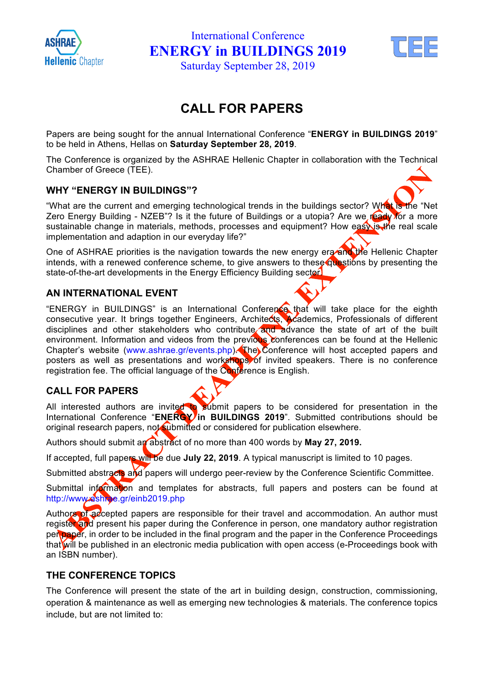

International Conference **ENERGY in BUILDINGS 2019**



Saturday September 28, 2019

### **CALL FOR PAPERS**

Papers are being sought for the annual International Conference "**ENERGY in BUILDINGS 2019**" to be held in Athens, Hellas on **Saturday September 28, 2019**.

The Conference is organized by the ASHRAE Hellenic Chapter in collaboration with the Technical Chamber of Greece (TEE).

#### **WHY "ENERGY IN BUILDINGS"?**

"What are the current and emerging technological trends in the buildings sector? What is the "Net Zero Energy Building - NZEB"? Is it the future of Buildings or a utopia? Are we ready for a more sustainable change in materials, methods, processes and equipment? How eas is the real scale implementation and adaption in our everyday life?"

One of ASHRAE priorities is the navigation towards the new energy era and the Hellenic Chapter intends, with a renewed conference scheme, to give answers to these questions by presenting the state-of-the-art developments in the Energy Efficiency Building sector

#### **AN INTERNATIONAL EVENT**

"ENERGY in BUILDINGS" is an International Conference that will take place for the eighth consecutive year. It brings together Engineers, Architects, Academics, Professionals of different disciplines and other stakeholders who contribute and advance the state of art of the built environment. Information and videos from the previous conferences can be found at the Hellenic Chapter's website (www.ashrae.gr/events.php). The Conference will host accepted papers and posters as well as presentations and workshops of invited speakers. There is no conference registration fee. The official language of the Conference is English.

#### **CALL FOR PAPERS**

All interested authors are invited to submit papers to be considered for presentation in the International Conference "**ENERGY in BUILDINGS 2019**". Submitted contributions should be original research papers, not submitted or considered for publication elsewhere.

Authors should submit an abstract of no more than 400 words by **May 27, 2019.**

If accepted, full papers will be due **July 22, 2019**. A typical manuscript is limited to 10 pages.

Submitted abstracts and papers will undergo peer-review by the Conference Scientific Committee.

Submittal information and templates for abstracts, full papers and posters can be found at http://www.ashrae.gr/einb2019.php

Authors of accepted papers are responsible for their travel and accommodation. An author must register and present his paper during the Conference in person, one mandatory author registration per paper, in order to be included in the final program and the paper in the Conference Proceedings that will be published in an electronic media publication with open access (e-Proceedings book with an ISBN number).

#### **THE CONFERENCE TOPICS**

The Conference will present the state of the art in building design, construction, commissioning, operation & maintenance as well as emerging new technologies & materials. The conference topics include, but are not limited to: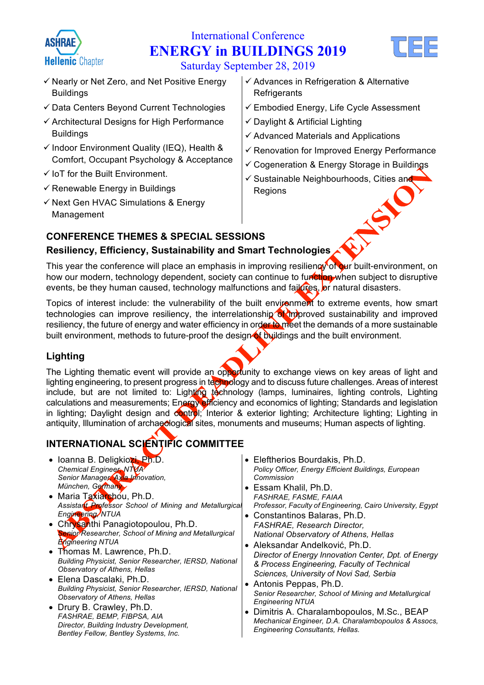

# International Conference **ENERGY in BUILDINGS 2019**



Saturday September 28, 2019

- $\checkmark$  Nearly or Net Zero, and Net Positive Energy Buildings
- $\checkmark$  Data Centers Beyond Current Technologies
- $\checkmark$  Architectural Designs for High Performance Buildings
- $\checkmark$  Indoor Environment Quality (IEQ), Health & Comfort, Occupant Psychology & Acceptance
- $\checkmark$  IoT for the Built Environment.
- $\checkmark$  Renewable Energy in Buildings
- $\checkmark$  Next Gen HVAC Simulations & Energy Management
- $\checkmark$  Advances in Refrigeration & Alternative **Refrigerants**
- $\checkmark$  Embodied Energy, Life Cycle Assessment
- $\checkmark$  Daylight & Artificial Lighting
- $\checkmark$  Advanced Materials and Applications
- $\checkmark$  Renovation for Improved Energy Performance
- $\checkmark$  Cogeneration & Energy Storage in Buildings
- ✓ Sustainable Neighbourhoods, Cities and<br>Regions<br>ONS Regions

#### **CONFERENCE THEMES & SPECIAL SESSIONS**

#### **Resiliency, Efficiency, Sustainability and Smart Technologies**

This year the conference will place an emphasis in improving resiliency of our built-environment, on how our modern, technology dependent, society can continue to function when subject to disruptive events, be they human caused, technology malfunctions and failures, or natural disasters.

Topics of interest include: the vulnerability of the built environment to extreme events, how smart technologies can improve resiliency, the interrelationship of improved sustainability and improved resiliency, the future of energy and water efficiency in order to meet the demands of a more sustainable built environment, methods to future-proof the design  $\bullet$  buildings and the built environment.

#### **Lighting**

The Lighting thematic event will provide an opportunity to exchange views on key areas of light and lighting engineering, to present progress in technology and to discuss future challenges. Areas of interest include, but are not limited to: Lighting technology (lamps, luminaires, lighting controls, Lighting calculations and measurements; Energy efficiency and economics of lighting; Standards and legislation in lighting; Daylight design and control; Interior & exterior lighting; Architecture lighting; Lighting in antiquity, Illumination of archaeological sites, monuments and museums; Human aspects of lighting.

### **INTERNATIONAL SCIENTIFIC COMMITTEE**

- Ioanna B. Deligkiozi, Ph.D. *Chemical Engineer, NTUA Senior Manager, Axia Innovation, München, Germany*
- Maria Taxiarchou, Ph.D. *Assistant Professor School of Mining and Metallurgical Engineering, NTUA*
- Chrysanthi Panagiotopoulou, Ph.D. *Senior Researcher, School of Mining and Metallurgical Engineering NTUA*
- Thomas M. Lawrence, Ph.D. *Building Physicist, Senior Researcher, IERSD, National Observatory of Athens, Hellas*
- Elena Dascalaki, Ph.D. *Building Physicist, Senior Researcher, IERSD, National Observatory of Athens, Hellas*
- Drury B. Crawley, Ph.D. *FASHRAE, BEMP, FIBPSA, AIA Director, Building Industry Development, Bentley Fellow, Bentley Systems, Inc.*
- Eleftherios Bourdakis, Ph.D. *Policy Officer, Energy Efficient Buildings, European Commission*
- Essam Khalil, Ph.D. *FASHRAE, FASME, FAIAA Professor, Faculty of Engineering, Cairo University, Egypt*
- Constantinos Balaras, Ph.D. *FASHRAE, Research Director, National Observatory of Athens, Hellas*
- Aleksandar Andelković, Ph.D. *Director of Energy Innovation Center, Dpt. of Energy & Process Engineering, Faculty of Technical Sciences, University of Novi Sad, Serbia*
- Antonis Peppas, Ph.D. *Senior Researcher, School of Mining and Metallurgical Engineering NTUA*
- Dimitris A. Charalambopoulos, M.Sc., BEAP *Mechanical Engineer, D.A. Charalambopoulos & Assocs, Engineering Consultants, Hellas.*